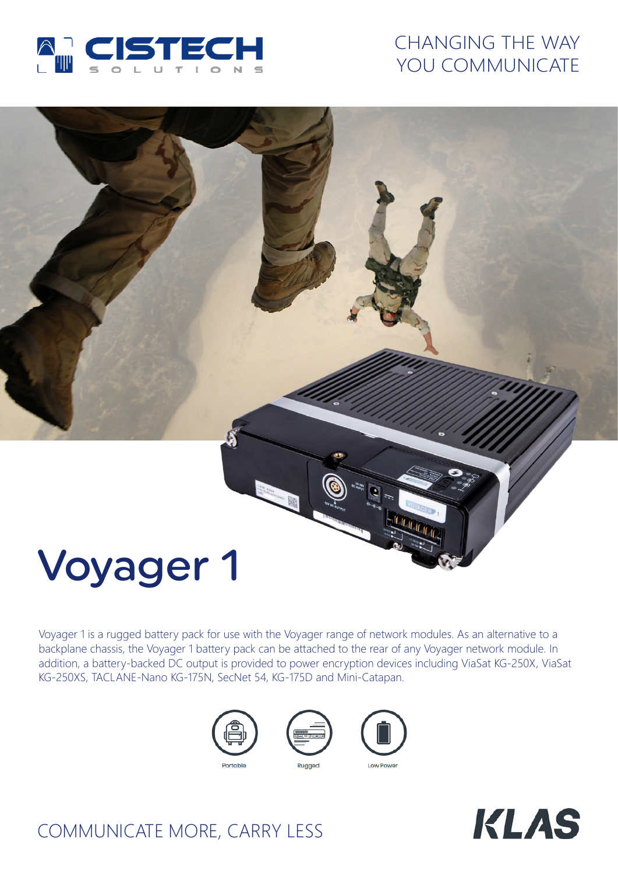

## CHANGING THE WAY YOU COMMUNICATE

# Voyager 1

Voyager 1 is a rugged battery pack for use with the Voyager range of network modules. As an alternative to a backplane chassis, the Voyager 1 battery pack can be attached to the rear of any Voyager network module. In addition, a battery-backed DC output is provided to power encryption devices including ViaSat KG-250X, ViaSat KG-250XS, TACLANE-Nano KG-175N, SecNet 54, KG-175D and Mini-Catapan.









# COMMUNICATE MORE, CARRY LESS